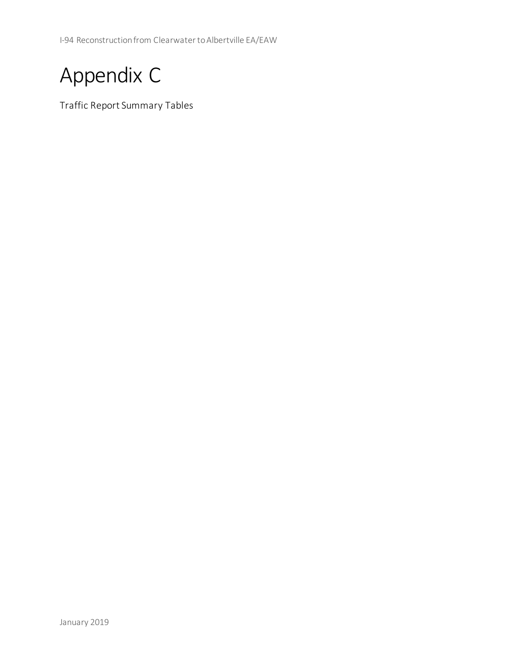I-94 Reconstruction from Clearwater to Albertville EA/EAW



Traffic Report Summary Tables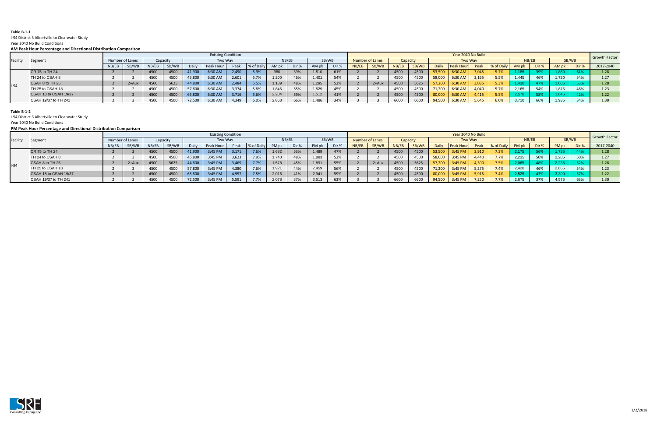## **Table B-1-1**

# I-94 District 3 Albertville to Clearwater Study

 **AM Peak Hour Percentage and Directional Distribution Comparison** 

Year 2040 No Build Conditions

|          | . can now, . crecinage and phicetional pictimation companion. |                 |                           |       |          |        |           |       |             |       |       |       |       |       |                    |       |          |        |                  |       |            |       |       |       |       |                   |  |
|----------|---------------------------------------------------------------|-----------------|---------------------------|-------|----------|--------|-----------|-------|-------------|-------|-------|-------|-------|-------|--------------------|-------|----------|--------|------------------|-------|------------|-------|-------|-------|-------|-------------------|--|
|          | Segment                                                       |                 | <b>Existing Condition</b> |       |          |        |           |       |             |       |       |       |       |       | Year 2040 No Build |       |          |        |                  |       |            |       |       |       |       |                   |  |
| Facility |                                                               | Number of Lanes |                           |       | Capacity |        | Two Way   |       |             | NB/EB |       |       | SB/WB |       | Number of Lanes    |       | Capacity |        | <b>Two Way</b>   |       |            |       | NB/EB | SB/WB |       | Growth Factor     |  |
|          |                                                               | NB/EB           | SB/WB                     | NB/EB | SB/WB    | Daily  | Peak Hour | Peak  | 1% of Daily | AM pk | Dir % | AM pk | Dir % | NB/EB | SB/WB              | NB/EB | SB/WB    | Daily  | <b>Peak Hour</b> | Peak  | % of Daily | AM pk | Dir % | AM pk | Dir % | 2017-2040         |  |
|          | CR 75 to TH 24                                                |                 |                           | 4500  | 4500     | 41,900 | 6:30 AM   | 2,490 | 5.9%        | 980   | 39%   | 1,510 | 61%   |       |                    | 4500  | 4500     | 53,500 | :30 AM           | 3,045 | 5.7%       |       |       | 1,860 | 61%   | 1.28 <sub>1</sub> |  |
|          | TH 24 to CSAH 8                                               |                 |                           | 4500  | 4500     | 45,800 | 6:30 AM   | 2,601 | 5.7%        | 1,200 | 46%   | 1,401 | 54%   |       |                    | 4500  | 4500     | 58,000 | 6:30 AM          | 3,165 | 5.5%       | 1,445 |       | 1,720 | 54%   |                   |  |
| $I-94$   | CSAH 8 to TH 25                                               |                 | $2+Au$                    | 4500  | 5625     | 44,800 | 6:30 AM   | 2,484 | 5.5%        | 1,189 | 48%   | 1,295 | 52%   |       | $2+Aux$            | 4500  | 5625     | 57,200 | $5:30$ AM        | 3,035 | 5.3%       | 1,430 |       | 1,605 |       |                   |  |
|          | TH 25 to CSAH 18                                              |                 |                           | 4500  | 4500     | 57,800 | 6:30 AM   | 3,374 | 5.8%        | 1,845 | 55%   | 1,529 |       |       |                    | 4500  | 4500     | 71,200 | 6:30 AM          | 4,040 | 5.7%       | 2,165 |       | 1,875 | 46%   |                   |  |
|          | CSAH 18 to CSAH 19/37                                         |                 |                           | 4500  | 4500     | 65,800 | 6:30 AM   | 3,716 | 5.6%        | 2,204 | 59%   | 1,512 |       |       |                    | 4500  | 4500     | 80,000 | :30AM            | 4,415 | 5.5%       | 2,570 |       | 1,845 | 42%   |                   |  |
|          | CSAH 19/37 to TH 241                                          |                 |                           | 4500  | 4500     | 72,500 | 6:30 AM   | 4,349 | 6.0%        | 2,863 | 66%   |       | -34%  |       |                    | 6600  | 6600     | 94,500 | 6:30 AM          | 5,645 | 6.0%       | 3,710 | 66%   | 1,935 | 34%   |                   |  |

#### **PM Peak Hour Percentage and Directional Distribution Comparison**

| Facility | Segment               |                 | <b>Existing Condition</b> |             |       |         |           |       |            |       |       |       |       |                        | Year 2040 No Build |          |       |         |                  |       |            |       |       |                   |          |                   |  |
|----------|-----------------------|-----------------|---------------------------|-------------|-------|---------|-----------|-------|------------|-------|-------|-------|-------|------------------------|--------------------|----------|-------|---------|------------------|-------|------------|-------|-------|-------------------|----------|-------------------|--|
|          |                       | Number of Lanes |                           | Capacity    |       | Two Way |           |       |            | NB/EB |       | SB/WB |       | <b>Number of Lanes</b> |                    | Capacity |       | Two Way |                  |       |            | NB/EB |       | SB/WB             |          | Growth Factor     |  |
|          |                       | NB/EB           | SB/WB                     | NB/EB       | SB/WB | Daily   | Peak Hou  | Peak  | % of Daily | PM pk | Dir % | PMr   | Dir % | NB/EB                  | SB/WB              | NB/EB    | SB/WB |         | <b>Peak Hour</b> | Peak  | % of Daily | PM pk | Dir % | PM pk             | Dir %    | 2017-2040         |  |
|          | CR 75 to TH 24        |                 |                           | 4500        | 4500  | 41,900  | $3:45$ PN | 3.171 | 7.6%       | 1,682 | 53%   |       |       |                        |                    | 4500     | 4500  | 53.500  | 3:45 PM          | 3.910 | $7.3\%$    | 2,175 |       |                   |          | 1.28 <sub>1</sub> |  |
|          | TH 24 to CSAH 8       |                 |                           | 450C        | 4500  | 45,800  | 3:45 PM   | 3,623 | 7.9%       | 1,740 | 48%   | 1,883 |       |                        |                    | 4500     | 450C  | 58,000  | 3:45 PM          | 4.440 | 7.7%       | 2,235 |       | 2,205             |          |                   |  |
|          | CSAH 8 to TH 25       |                 | 2+Aux                     | <b>4500</b> | 5625  | 44,800  | 3:45 PM   |       | 7.7%       | 1,578 | 45%   | 1,891 | 55%   |                        | $2+Aux$            | 4500     | 5625  | 57.200  | 3:45 PM          | 4.300 | 7.5%       | 2,065 |       | 2.235             |          |                   |  |
| $1 - 94$ | TH 25 to CSAH 18      |                 |                           | 4500        | 4500  | 57,800  | 3:45 PM   | 4.380 | 7.6%       | 1,921 | 44%   | 2,459 | 56%   |                        |                    | 4500     | 4500  | 71,200  | 3:45 PM          | 5,275 | 7.4%       | 2,420 |       | 2,855             | $E$ A O/ |                   |  |
|          | CSAH 18 to CSAH 19/37 |                 |                           | <b>4500</b> | 4500  | 65,800  | 3:45 PM   | 4,957 | 7.5%       | 2,016 | 41%   | 2,941 | 59%   |                        |                    | 4500     | 4500  | 80,000  | 3:45 PM          | 5,915 | 7.4%       | 2,525 |       | 3.39 <sub>c</sub> |          |                   |  |
|          | CSAH 19/37 to TH 241  |                 |                           | 450C        | 4500  | 72,500  | 3:45 PM   | 5,591 | 7.7%       | 2,078 | 37%   | 3,513 | 63%   |                        |                    | 6600     | 6600  | 94,500  | 3:45 PM          | 7,250 | 7.7%       | 2,675 |       | 4,575             | 63%      |                   |  |



## **Table B-1-2**

I-94 District 3 Albertville to Clearwater Study

Year 2040 No Build Conditions